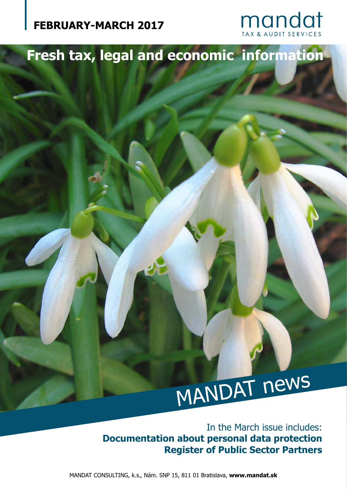

## **Fresh tax, legal and economic information**

# MANDAT news

In the March issue includes: **Documentation about personal data protection Register of Public Sector Partners**

MANDAT CONSULTING, k.s., Nám. SNP 15, 811 01 Bratislava, **www.mandat.sk**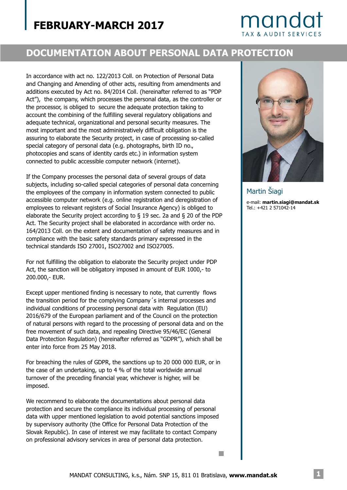## mando

#### **DOCUMENTATION ABOUT PERSONAL DATA PROTECTION**

In accordance with act no. 122/2013 Coll. on Protection of Personal Data and Changing and Amending of other acts, resulting from amendments and additions executed by Act no. 84/2014 Coll. (hereinafter referred to as "PDP Act"), the company, which processes the personal data, as the controller or the processor, is obliged to secure the adequate protection taking to account the combining of the fulfilling several regulatory obligations and adequate technical, organizational and personal security measures. The most important and the most administratively difficult obligation is the assuring to elaborate the Security project, in case of processing so-called special category of personal data (e.g. photographs, birth ID no., photocopies and scans of identity cards etc.) in information system connected to public accessible computer network (internet).

If the Company processes the personal data of several groups of data subjects, including so-called special categories of personal data concerning the employees of the company in information system connected to public accessible computer network (e.g. online registration and deregistration of employees to relevant registers of Social Insurance Agency) is obliged to elaborate the Security project according to § 19 sec. 2a and § 20 of the PDP Act. The Security project shall be elaborated in accordance with order no. 164/2013 Coll. on the extent and documentation of safety measures and in compliance with the basic safety standards primary expressed in the technical standards ISO 27001, ISO27002 and ISO27005.

For not fulfilling the obligation to elaborate the Security project under PDP Act, the sanction will be obligatory imposed in amount of EUR 1000,- to 200.000,- EUR.

Except upper mentioned finding is necessary to note, that currently flows the transition period for the complying Company´s internal processes and individual conditions of processing personal data with Regulation (EU) 2016/679 of the European parliament and of the Council on the protection of natural persons with regard to the processing of personal data and on the free movement of such data, and repealing Directive 95/46/EC (General Data Protection Regulation) (hereinafter referred as "GDPR"), which shall be enter into force from 25 May 2018.

For breaching the rules of GDPR, the sanctions up to 20 000 000 EUR, or in the case of an undertaking, up to 4 % of the total worldwide annual turnover of the preceding financial year, whichever is higher, will be imposed.

We recommend to elaborate the documentations about personal data protection and secure the compliance its individual processing of personal data with upper mentioned legislation to avoid potential sanctions imposed by supervisory authority (the Office for Personal Data Protection of the Slovak Republic). In case of interest we may facilitate to contact Company on professional advisory services in area of personal data protection.



e-mail: **martin.siagi@mandat.sk** Tel.: +421 2 571042-14 Martin Šiagi

 $\mathcal{C}^{\mathcal{A}}$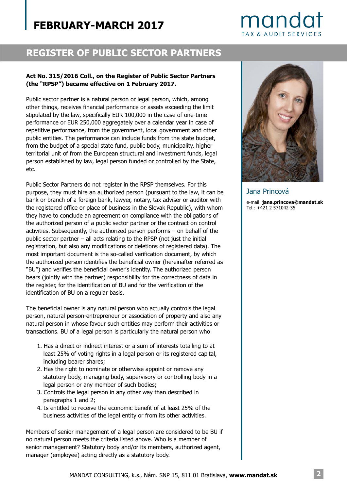## mandat **TAX & AUDIT SERVICES**

#### **REGISTER OF PUBLIC SECTOR PARTNERS**

#### **Act No. 315/2016 Coll., on the Register of Public Sector Partners (the "RPSP") became effective on 1 February 2017.**

Public sector partner is a natural person or legal person, which, among other things, receives financial performance or assets exceeding the limit stipulated by the law, specifically EUR 100,000 in the case of one-time performance or EUR 250,000 aggregately over a calendar year in case of repetitive performance, from the government, local government and other public entities. The performance can include funds from the state budget, from the budget of a special state fund, public body, municipality, higher territorial unit of from the European structural and investment funds, legal person established by law, legal person funded or controlled by the State, etc.

Public Sector Partners do not register in the RPSP themselves. For this purpose, they must hire an authorized person (pursuant to the law, it can be bank or branch of a foreign bank, lawyer, notary, tax adviser or auditor with the registered office or place of business in the Slovak Republic), with whom they have to conclude an agreement on compliance with the obligations of the authorized person of a public sector partner or the contract on control activities. Subsequently, the authorized person performs – on behalf of the public sector partner – all acts relating to the RPSP (not just the initial registration, but also any modifications or deletions of registered data). The most important document is the so-called verification document, by which the authorized person identifies the beneficial owner (hereinafter referred as "BU") and verifies the beneficial owner's identity. The authorized person bears (jointly with the partner) responsibility for the correctness of data in the register, for the identification of BU and for the verification of the identification of BU on a regular basis.

The beneficial owner is any natural person who actually controls the legal person, natural person-entrepreneur or association of property and also any natural person in whose favour such entities may perform their activities or transactions. BU of a legal person is particularly the natural person who

- 1. Has a direct or indirect interest or a sum of interests totalling to at least 25% of voting rights in a legal person or its registered capital, including bearer shares;
- 2. Has the right to nominate or otherwise appoint or remove any statutory body, managing body, supervisory or controlling body in a legal person or any member of such bodies;
- 3. Controls the legal person in any other way than described in paragraphs 1 and 2;
- 4. Is entitled to receive the economic benefit of at least 25% of the business activities of the legal entity or from its other activities.

Members of senior management of a legal person are considered to be BU if no natural person meets the criteria listed above. Who is a member of senior management? Statutory body and/or its members, authorized agent, manager (employee) acting directly as a statutory body.



Jana Princová e-mail: **jana.princova@mandat.sk** Tel.: +421 2 571042-35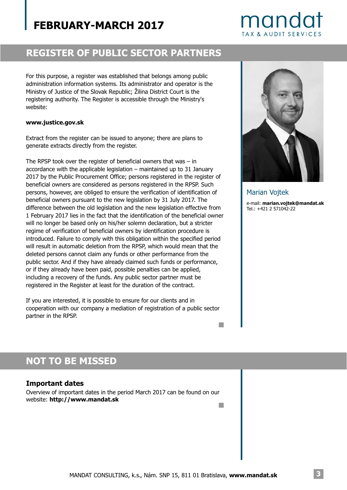## mandat **TAX & AUDIT SERVICES**

#### **REGISTER OF PUBLIC SECTOR PARTNERS**

For this purpose, a register was established that belongs among public administration information systems. Its administrator and operator is the Ministry of Justice of the Slovak Republic; Žilina District Court is the registering authority. The Register is accessible through the Ministry's website:

#### **www.justice.gov.sk**

Extract from the register can be issued to anyone; there are plans to generate extracts directly from the register.

The RPSP took over the register of beneficial owners that was – in accordance with the applicable legislation – maintained up to 31 January 2017 by the Public Procurement Office; persons registered in the register of beneficial owners are considered as persons registered in the RPSP. Such persons, however, are obliged to ensure the verification of identification of beneficial owners pursuant to the new legislation by 31 July 2017. The difference between the old legislation and the new legislation effective from 1 February 2017 lies in the fact that the identification of the beneficial owner will no longer be based only on his/her solemn declaration, but a stricter regime of verification of beneficial owners by identification procedure is introduced. Failure to comply with this obligation within the specified period will result in automatic deletion from the RPSP, which would mean that the deleted persons cannot claim any funds or other performance from the public sector. And if they have already claimed such funds or performance, or if they already have been paid, possible penalties can be applied, including a recovery of the funds. Any public sector partner must be registered in the Register at least for the duration of the contract.

If you are interested, it is possible to ensure for our clients and in cooperation with our company a mediation of registration of a public sector partner in the RPSP.

e-mail: **marian.vojtek@mandat.sk** Marian Vojtek

Tel.: +421 2 571042-22

**I** 

## **NOT TO BE MISSED**

#### **Important dates**

Overview of important dates in the period March 2017 can be found on our website: **http://www.mandat.sk** n.